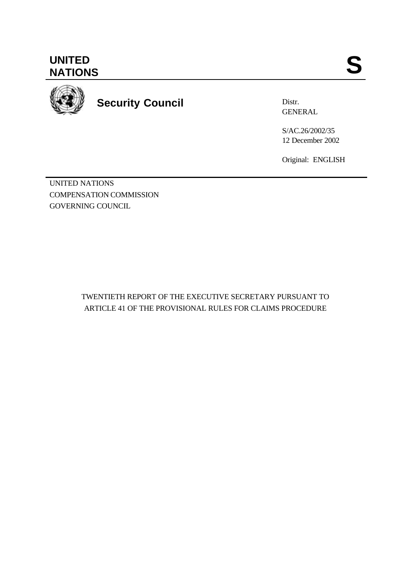**UNITED** UNITED SANTIONS



**Security Council**

Distr. GENERAL

S/AC.26/2002/35 12 December 2002

Original: ENGLISH

UNITED NATIONS COMPENSATION COMMISSION GOVERNING COUNCIL

> TWENTIETH REPORT OF THE EXECUTIVE SECRETARY PURSUANT TO ARTICLE 41 OF THE PROVISIONAL RULES FOR CLAIMS PROCEDURE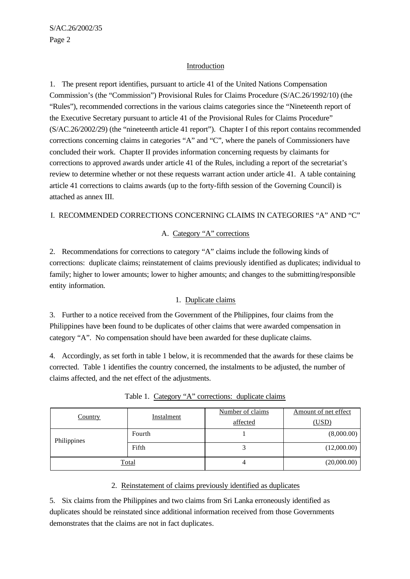### Introduction

1. The present report identifies, pursuant to article 41 of the United Nations Compensation Commission's (the "Commission") Provisional Rules for Claims Procedure (S/AC.26/1992/10) (the "Rules"), recommended corrections in the various claims categories since the "Nineteenth report of the Executive Secretary pursuant to article 41 of the Provisional Rules for Claims Procedure" (S/AC.26/2002/29) (the "nineteenth article 41 report"). Chapter I of this report contains recommended corrections concerning claims in categories "A" and "C", where the panels of Commissioners have concluded their work. Chapter II provides information concerning requests by claimants for corrections to approved awards under article 41 of the Rules, including a report of the secretariat's review to determine whether or not these requests warrant action under article 41. A table containing article 41 corrections to claims awards (up to the forty-fifth session of the Governing Council) is attached as annex III.

### I. RECOMMENDED CORRECTIONS CONCERNING CLAIMS IN CATEGORIES "A" AND "C"

### A. Category "A" corrections

2. Recommendations for corrections to category "A" claims include the following kinds of corrections: duplicate claims; reinstatement of claims previously identified as duplicates; individual to family; higher to lower amounts; lower to higher amounts; and changes to the submitting/responsible entity information.

### 1. Duplicate claims

3. Further to a notice received from the Government of the Philippines, four claims from the Philippines have been found to be duplicates of other claims that were awarded compensation in category "A". No compensation should have been awarded for these duplicate claims.

4. Accordingly, as set forth in table 1 below, it is recommended that the awards for these claims be corrected. Table 1 identifies the country concerned, the instalments to be adjusted, the number of claims affected, and the net effect of the adjustments.

| <b>Country</b> | Instalment | Number of claims<br>affected | Amount of net effect<br>(USD) |
|----------------|------------|------------------------------|-------------------------------|
| Philippines    | Fourth     |                              | (8,000.00)                    |
|                | Fifth      |                              | (12,000.00)                   |
| Total          |            | 4                            | (20,000.00)                   |

Table 1. Category "A" corrections: duplicate claims

### 2. Reinstatement of claims previously identified as duplicates

5. Six claims from the Philippines and two claims from Sri Lanka erroneously identified as duplicates should be reinstated since additional information received from those Governments demonstrates that the claims are not in fact duplicates.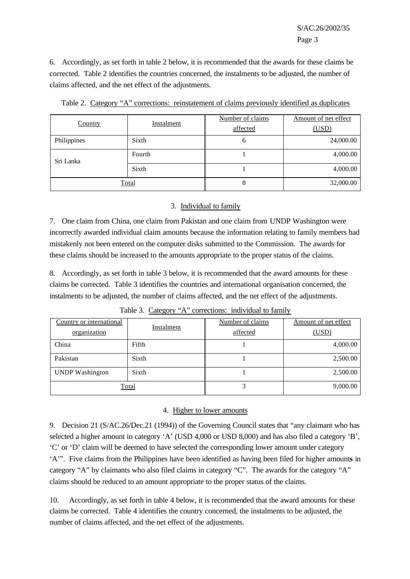6. Accordingly, as set forth in table 2 below, it is recommended that the awards for these claims be corrected. Table 2 identifies the countries concerned, the instalments to be adjusted, the number of claims affected, and the net effect of the adjustments.

| Country      | Instalment | Number of claims<br>affected | Amount of net effect<br>(USD) |  |
|--------------|------------|------------------------------|-------------------------------|--|
| Philippines  | Sixth      | $\mathfrak b$                | 24,000.00                     |  |
| Sri Lanka    | Fourth     |                              | 4,000.00                      |  |
|              | Sixth      |                              | 4,000.00                      |  |
| <b>Total</b> |            | 8                            | 32,000.00                     |  |

Table 2. Category "A" corrections: reinstatement of claims previously identified as duplicates

### 3. Individual to family

7. One claim from China, one claim from Pakistan and one claim from UNDP Washington were incorrectly awarded individual claim amounts because the information relating to family members had mistakenly not been entered on the computer disks submitted to the Commission. The awards for these claims should be increased to the amounts appropriate to the proper status of the claims.

8. Accordingly, as set forth in table 3 below, it is recommended that the award amounts for these claims be corrected. Table 3 identifies the countries and international organisation concerned, the instalments to be adjusted, the number of claims affected, and the net effect of the adjustments.

| Country or international<br>organization | <b>Instalment</b> | Number of claims<br>affected | Amount of net effect<br>(USD) |
|------------------------------------------|-------------------|------------------------------|-------------------------------|
| China                                    | Fifth             |                              | 4,000.00                      |
| Pakistan                                 | Sixth             |                              | 2,500.00                      |
| <b>UNDP</b> Washington                   | Sixth             |                              | 2,500.00                      |
| Total                                    |                   |                              | 9,000.00                      |

Table 3. Category "A" corrections: individual to family

## 4. Higher to lower amounts

9. Decision 21 (S/AC.26/Dec.21 (1994)) of the Governing Council states that "any claimant who has selected a higher amount in category 'A' (USD 4,000 or USD 8,000) and has also filed a category 'B', 'C' or 'D' claim will be deemed to have selected the corresponding lower amount under category 'A'". Five claims from the Philippines have been identified as having been filed for higher amount**s** in category "A" by claimants who also filed claims in category "C". The awards for the category "A" claims should be reduced to an amount appropriate to the proper status of the claims.

10. Accordingly, as set forth in table 4 below, it is recommended that the award amounts for these claims be corrected. Table 4 identifies the country concerned, the instalments to be adjusted, the number of claims affected, and the net effect of the adjustments.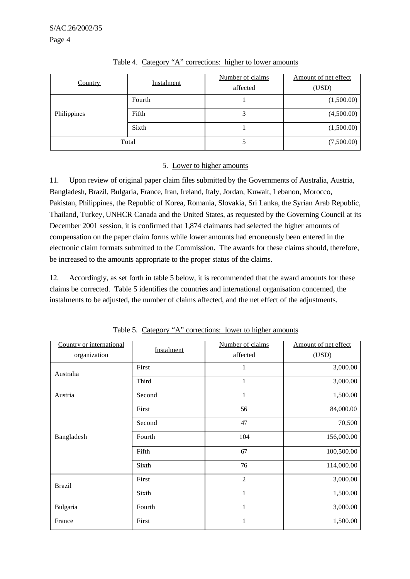| Country     | Instalment | Number of claims<br>affected | Amount of net effect<br>(USD) |
|-------------|------------|------------------------------|-------------------------------|
| Philippines | Fourth     |                              | (1,500.00)                    |
|             | Fifth      | 3                            | (4,500.00)                    |
|             | Sixth      |                              | (1,500.00)                    |
| Total       |            |                              | (7,500.00)                    |

Table 4. Category "A" corrections: higher to lower amounts

### 5. Lower to higher amounts

11. Upon review of original paper claim files submitted by the Governments of Australia, Austria, Bangladesh, Brazil, Bulgaria, France, Iran, Ireland, Italy, Jordan, Kuwait, Lebanon, Morocco, Pakistan, Philippines, the Republic of Korea, Romania, Slovakia, Sri Lanka, the Syrian Arab Republic, Thailand, Turkey, UNHCR Canada and the United States, as requested by the Governing Council at its December 2001 session, it is confirmed that 1,874 claimants had selected the higher amounts of compensation on the paper claim forms while lower amounts had erroneously been entered in the electronic claim formats submitted to the Commission. The awards for these claims should, therefore, be increased to the amounts appropriate to the proper status of the claims.

12. Accordingly, as set forth in table 5 below, it is recommended that the award amounts for these claims be corrected. Table 5 identifies the countries and international organisation concerned, the instalments to be adjusted, the number of claims affected, and the net effect of the adjustments.

| Country or international<br>organization | Instalment | Number of claims<br>affected | Amount of net effect<br>(USD) |
|------------------------------------------|------------|------------------------------|-------------------------------|
| Australia                                | First      | 1                            | 3,000.00                      |
|                                          | Third      | $\mathbf{1}$                 | 3,000.00                      |
| Austria                                  | Second     | $\mathbf{1}$                 | 1,500.00                      |
|                                          | First      | 56                           | 84,000.00                     |
|                                          | Second     | 47                           | 70,500                        |
| Bangladesh                               | Fourth     | 104                          | 156,000.00                    |
|                                          | Fifth      | 67                           | 100,500.00                    |
|                                          | Sixth      | 76                           | 114,000.00                    |
| <b>Brazil</b>                            | First      | $\overline{2}$               | 3,000.00                      |
|                                          | Sixth      | $\mathbf{1}$                 | 1,500.00                      |
| Bulgaria                                 | Fourth     | $\mathbf{1}$                 | 3,000.00                      |
| France                                   | First      | $\mathbf{1}$                 | 1,500.00                      |

Table 5. Category "A" corrections: lower to higher amounts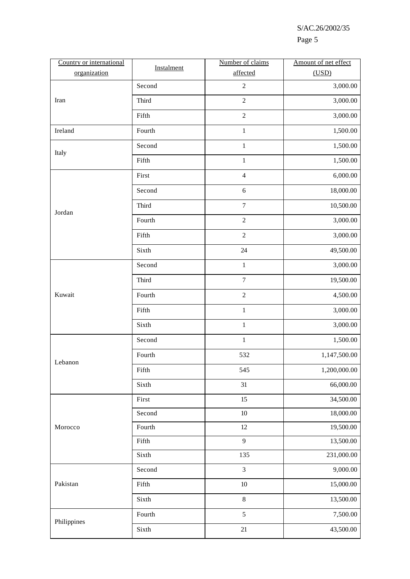|--|--|

| Country or international | Instalment | Number of claims | Amount of net effect |
|--------------------------|------------|------------------|----------------------|
| organization             |            | affected         | (USD)                |
|                          | Second     | $\sqrt{2}$       | 3,000.00             |
| Iran                     | Third      | $\sqrt{2}$       | 3,000.00             |
|                          | Fifth      | $\overline{c}$   | 3,000.00             |
| Ireland                  | Fourth     | $\,1\,$          | 1,500.00             |
| Italy                    | Second     | $1\,$            | 1,500.00             |
|                          | Fifth      | $\,1$            | 1,500.00             |
|                          | First      | $\overline{4}$   | 6,000.00             |
|                          | Second     | 6                | 18,000.00            |
| Jordan                   | Third      | $\boldsymbol{7}$ | 10,500.00            |
|                          | Fourth     | $\sqrt{2}$       | 3,000.00             |
|                          | Fifth      | $\sqrt{2}$       | 3,000.00             |
|                          | Sixth      | 24               | 49,500.00            |
|                          | Second     | $\,1\,$          | 3,000.00             |
|                          | Third      | $\boldsymbol{7}$ | 19,500.00            |
| Kuwait                   | Fourth     | $\sqrt{2}$       | 4,500.00             |
|                          | Fifth      | $\,1\,$          | 3,000.00             |
|                          | Sixth      | $\,1\,$          | 3,000.00             |
|                          | Second     | $\mathbf 1$      | 1,500.00             |
| Lebanon                  | Fourth     | 532              | 1,147,500.00         |
|                          | Fifth      | 545              | 1,200,000.00         |
|                          | Sixth      | 31               | 66,000.00            |
|                          | First      | 15               | 34,500.00            |
|                          | Second     | 10               | 18,000.00            |
| Morocco                  | Fourth     | 12               | 19,500.00            |
|                          | Fifth      | 9                | 13,500.00            |
|                          | Sixth      | 135              | 231,000.00           |
|                          | Second     | $\mathfrak{Z}$   | 9,000.00             |
| Pakistan                 | Fifth      | 10               | 15,000.00            |
|                          | Sixth      | $\,8\,$          | 13,500.00            |
| Philippines              | Fourth     | 5                | 7,500.00             |
|                          | Sixth      | $21\,$           | 43,500.00            |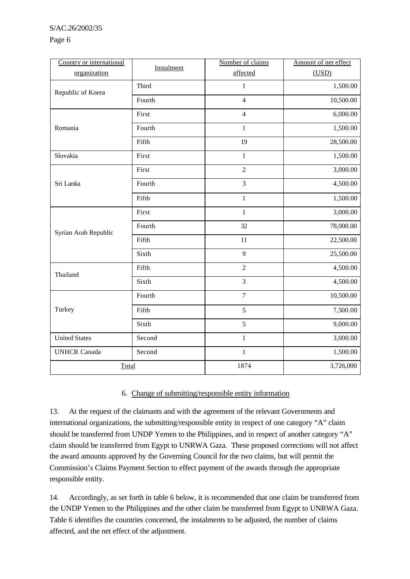Page 6

| Country or international | Instalment | Number of claims | Amount of net effect |
|--------------------------|------------|------------------|----------------------|
| organization             |            | affected         | (USD)                |
| Republic of Korea        | Third      | $\,1$            | 1,500.00             |
|                          | Fourth     | $\overline{4}$   | 10,500.00            |
|                          | First      | $\overline{4}$   | 6,000.00             |
| Romania                  | Fourth     | $\mathbf{1}$     | 1,500.00             |
|                          | Fifth      | 19               | 28,500.00            |
| Slovakia                 | First      | $\mathbf{1}$     | 1,500.00             |
|                          | First      | $\overline{2}$   | 3,000.00             |
| Sri Lanka                | Fourth     | 3                | 4,500.00             |
|                          | Fifth      | $\,1$            | 1,500.00             |
|                          | First      | $\mathbf{1}$     | 3,000.00             |
| Syrian Arab Republic     | Fourth     | 32               | 78,000.00            |
|                          | Fifth      | 11               | 22,500.00            |
|                          | Sixth      | 9                | 25,500.00            |
| Thailand                 | Fifth      | $\overline{c}$   | 4,500.00             |
|                          | Sixth      | 3                | 4,500.00             |
|                          | Fourth     | $\tau$           | 10,500.00            |
| Turkey                   | Fifth      | 5                | 7,500.00             |
|                          | Sixth      | 5                | 9,000.00             |
| <b>United States</b>     | Second     | $\mathbf{1}$     | 3,000.00             |
| <b>UNHCR Canada</b>      | Second     | $\mathbf{1}$     | 1,500.00             |
| Total                    |            | 1874             | 3,726,000            |

## 6. Change of submitting/responsible entity information

13. At the request of the claimants and with the agreement of the relevant Governments and international organizations, the submitting/responsible entity in respect of one category "A" claim should be transferred from UNDP Yemen to the Philippines, and in respect of another category "A" claim should be transferred from Egypt to UNRWA Gaza. These proposed corrections will not affect the award amounts approved by the Governing Council for the two claims, but will permit the Commission's Claims Payment Section to effect payment of the awards through the appropriate responsible entity.

14. Accordingly, as set forth in table 6 below, it is recommended that one claim be transferred from the UNDP Yemen to the Philippines and the other claim be transferred from Egypt to UNRWA Gaza. Table 6 identifies the countries concerned, the instalments to be adjusted, the number of claims affected, and the net effect of the adjustment.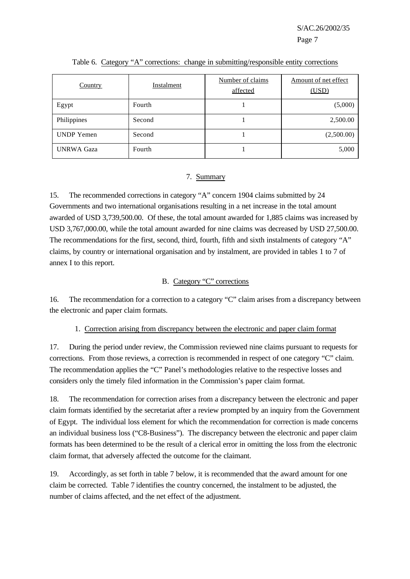| Country           | Number of claims<br>Instalment<br>affected |  | Amount of net effect<br>(USD) |
|-------------------|--------------------------------------------|--|-------------------------------|
| Egypt             | Fourth                                     |  | (5,000)                       |
| Philippines       | Second                                     |  | 2,500.00                      |
| <b>UNDP</b> Yemen | Second                                     |  | (2,500.00)                    |
| <b>UNRWA Gaza</b> | Fourth                                     |  | 5,000                         |

Table 6. Category "A" corrections: change in submitting/responsible entity corrections

### 7. Summary

15. The recommended corrections in category "A" concern 1904 claims submitted by 24 Governments and two international organisations resulting in a net increase in the total amount awarded of USD 3,739,500.00. Of these, the total amount awarded for 1,885 claims was increased by USD 3,767,000.00, while the total amount awarded for nine claims was decreased by USD 27,500.00. The recommendations for the first, second, third, fourth, fifth and sixth instalments of category "A" claims, by country or international organisation and by instalment, are provided in tables 1 to 7 of annex I to this report.

### B. Category "C" corrections

16. The recommendation for a correction to a category "C" claim arises from a discrepancy between the electronic and paper claim formats.

### 1. Correction arising from discrepancy between the electronic and paper claim format

17. During the period under review, the Commission reviewed nine claims pursuant to requests for corrections. From those reviews, a correction is recommended in respect of one category "C" claim. The recommendation applies the "C" Panel's methodologies relative to the respective losses and considers only the timely filed information in the Commission's paper claim format.

18. The recommendation for correction arises from a discrepancy between the electronic and paper claim formats identified by the secretariat after a review prompted by an inquiry from the Government of Egypt. The individual loss element for which the recommendation for correction is made concerns an individual business loss ("C8-Business"). The discrepancy between the electronic and paper claim formats has been determined to be the result of a clerical error in omitting the loss from the electronic claim format, that adversely affected the outcome for the claimant.

19. Accordingly, as set forth in table 7 below, it is recommended that the award amount for one claim be corrected. Table 7 identifies the country concerned, the instalment to be adjusted, the number of claims affected, and the net effect of the adjustment.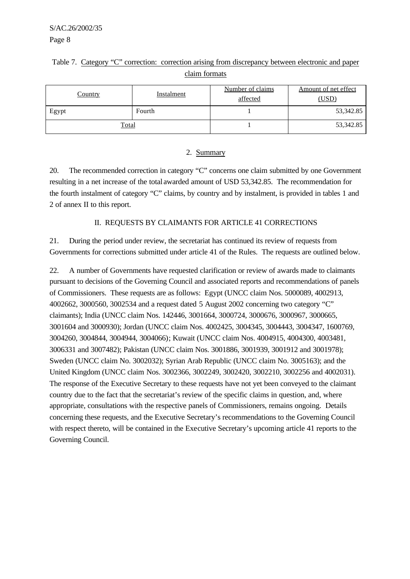|  | Table 7. Category "C" correction: correction arising from discrepancy between electronic and paper |  |  |
|--|----------------------------------------------------------------------------------------------------|--|--|
|  | claim formats                                                                                      |  |  |

| <b>Country</b> | Number of claims<br>Instalment<br>affected |  | Amount of net effect<br>(USD) |  |
|----------------|--------------------------------------------|--|-------------------------------|--|
| Egypt          | Fourth                                     |  | 53,342.85                     |  |
| Total          |                                            |  | 53,342.85                     |  |

### 2. Summary

20. The recommended correction in category "C" concerns one claim submitted by one Government resulting in a net increase of the total awarded amount of USD 53,342.85. The recommendation for the fourth instalment of category "C" claims, by country and by instalment, is provided in tables 1 and 2 of annex II to this report.

## II. REQUESTS BY CLAIMANTS FOR ARTICLE 41 CORRECTIONS

21. During the period under review, the secretariat has continued its review of requests from Governments for corrections submitted under article 41 of the Rules. The requests are outlined below.

22. A number of Governments have requested clarification or review of awards made to claimants pursuant to decisions of the Governing Council and associated reports and recommendations of panels of Commissioners. These requests are as follows: Egypt (UNCC claim Nos. 5000089, 4002913, 4002662, 3000560, 3002534 and a request dated 5 August 2002 concerning two category "C" claimants); India (UNCC claim Nos. 142446, 3001664, 3000724, 3000676, 3000967, 3000665, 3001604 and 3000930); Jordan (UNCC claim Nos. 4002425, 3004345, 3004443, 3004347, 1600769, 3004260, 3004844, 3004944, 3004066); Kuwait (UNCC claim Nos. 4004915, 4004300, 4003481, 3006331 and 3007482); Pakistan (UNCC claim Nos. 3001886, 3001939, 3001912 and 3001978); Sweden (UNCC claim No. 3002032); Syrian Arab Republic (UNCC claim No. 3005163); and the United Kingdom (UNCC claim Nos. 3002366, 3002249, 3002420, 3002210, 3002256 and 4002031). The response of the Executive Secretary to these requests have not yet been conveyed to the claimant country due to the fact that the secretariat's review of the specific claims in question, and, where appropriate, consultations with the respective panels of Commissioners, remains ongoing. Details concerning these requests, and the Executive Secretary's recommendations to the Governing Council with respect thereto, will be contained in the Executive Secretary's upcoming article 41 reports to the Governing Council.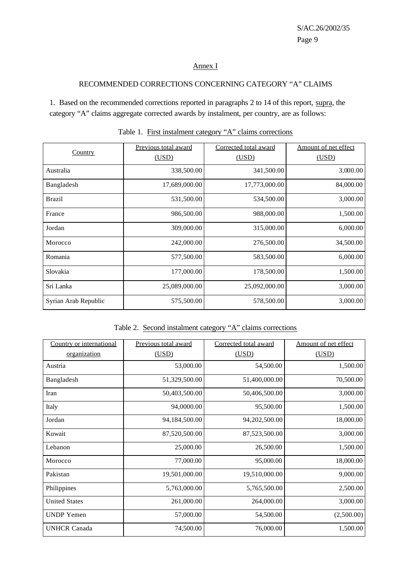## Annex I

## RECOMMENDED CORRECTIONS CONCERNING CATEGORY "A" CLAIMS

1. Based on the recommended corrections reported in paragraphs 2 to 14 of this report, supra, the category "A" claims aggregate corrected awards by instalment, per country, are as follows:

|                      | Previous total award | Corrected total award | Amount of net effect |
|----------------------|----------------------|-----------------------|----------------------|
| <b>Country</b>       | (USD)                | (USD)                 | (USD)                |
| Australia            | 338,500.00           | 341,500.00            | 3,000.00             |
| Bangladesh           | 17,689,000.00        | 17,773,000.00         | 84,000.00            |
| <b>Brazil</b>        | 531,500.00           | 534,500.00            | 3,000.00             |
| France               | 986,500.00           | 988,000.00            | 1,500.00             |
| Jordan               | 309,000.00           | 315,000.00            | 6,000.00             |
| Morocco              | 242,000.00           | 276,500.00            | 34,500.00            |
| Romania              | 577,500.00           | 583,500.00            | 6,000.00             |
| Slovakia             | 177,000.00           | 178,500.00            | 1,500.00             |
| Sri Lanka            | 25,089,000.00        | 25,092,000.00         | 3,000.00             |
| Syrian Arab Republic | 575,500.00           | 578,500.00            | 3,000.00             |

|  |  |  | Table 1. First instalment category "A" claims corrections |
|--|--|--|-----------------------------------------------------------|
|--|--|--|-----------------------------------------------------------|

|--|

| Country or international | <b>Previous total award</b> | Corrected total award | Amount of net effect |
|--------------------------|-----------------------------|-----------------------|----------------------|
| <u>organization</u>      | (USD)                       | (USD)                 | (USD)                |
| Austria                  | 53,000.00                   | 54,500.00             | 1,500.00             |
| Bangladesh               | 51,329,500.00               | 51,400,000.00         | 70,500.00            |
| Iran                     | 50,403,500.00               | 50,406,500.00         | 3,000.00             |
| Italy                    | 94,0000.00                  | 95,500.00             | 1,500.00             |
| Jordan                   | 94,184,500.00               | 94,202,500.00         | 18,000.00            |
| Kuwait                   | 87,520,500.00               | 87,523,500.00         | 3,000.00             |
| Lebanon                  | 25,000.00                   | 26,500.00             | 1,500.00             |
| Morocco                  | 77,000.00                   | 95,000.00             | 18,000.00            |
| Pakistan                 | 19,501,000.00               | 19,510,000.00         | 9,000.00             |
| Philippines              | 5,763,000.00                | 5,765,500.00          | 2,500.00             |
| <b>United States</b>     | 261,000.00                  | 264,000.00            | 3,000.00             |
| <b>UNDP</b> Yemen        | 57,000.00                   | 54,500.00             | (2,500.00)           |
| <b>UNHCR Canada</b>      | 74,500.00                   | 76,000.00             | 1,500.00             |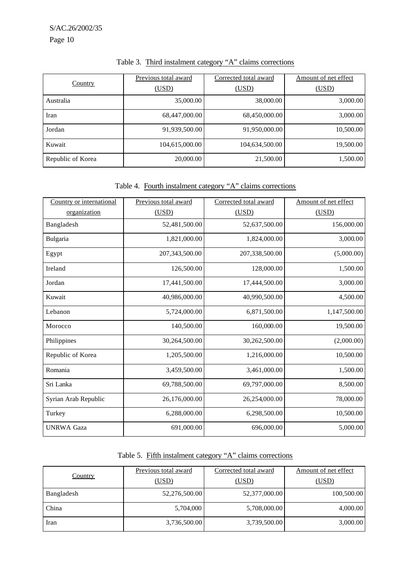| Country           | Previous total award | Corrected total award | Amount of net effect |
|-------------------|----------------------|-----------------------|----------------------|
|                   | (USD)                | (USD)                 | (USD)                |
| Australia         | 35,000.00            | 38,000.00             | 3,000.00             |
| Iran              | 68,447,000.00        | 68,450,000.00         | 3,000.00             |
| Jordan            | 91,939,500.00        | 91,950,000.00         | 10,500.00            |
| Kuwait            | 104,615,000.00       | 104,634,500.00        | 19,500.00            |
| Republic of Korea | 20,000.00            | 21,500.00             | 1,500.00             |

# Table 3. Third instalment category "A" claims corrections

## Table 4. Fourth instalment category "A" claims corrections

| Country or international | Previous total award | Corrected total award | Amount of net effect |
|--------------------------|----------------------|-----------------------|----------------------|
| organization             | (USD)                | (USD)                 | (USD)                |
| Bangladesh               | 52,481,500.00        | 52,637,500.00         | 156,000.00           |
| Bulgaria                 | 1,821,000.00         | 1,824,000.00          | 3,000.00             |
| Egypt                    | 207,343,500.00       | 207,338,500.00        | (5,000.00)           |
| Ireland                  | 126,500.00           | 128,000.00            | 1,500.00             |
| Jordan                   | 17,441,500.00        | 17,444,500.00         | 3,000.00             |
| Kuwait                   | 40,986,000.00        | 40,990,500.00         | 4,500.00             |
| Lebanon                  | 5,724,000.00         | 6,871,500.00          | 1,147,500.00         |
| Morocco                  | 140,500.00           | 160,000.00            | 19,500.00            |
| Philippines              | 30,264,500.00        | 30,262,500.00         | (2,000.00)           |
| Republic of Korea        | 1,205,500.00         | 1,216,000.00          | 10,500.00            |
| Romania                  | 3,459,500.00         | 3,461,000.00          | 1,500.00             |
| Sri Lanka                | 69,788,500.00        | 69,797,000.00         | 8,500.00             |
| Syrian Arab Republic     | 26,176,000.00        | 26,254,000.00         | 78,000.00            |
| Turkey                   | 6,288,000.00         | 6,298,500.00          | 10,500.00            |
| <b>UNRWA Gaza</b>        | 691,000.00           | 696,000.00            | 5,000.00             |

## Table 5. Fifth instalment category "A" claims corrections

| <b>Country</b> | Previous total award | Corrected total award | Amount of net effect |
|----------------|----------------------|-----------------------|----------------------|
|                | (USD)                | (USD)                 | (USD)                |
| Bangladesh     | 52,276,500.00        | 52,377,000.00         | 100,500.00           |
| China          | 5,704,000            | 5,708,000.00          | 4,000.00             |
| Iran           | 3,736,500.00         | 3,739,500.00          | 3,000.00             |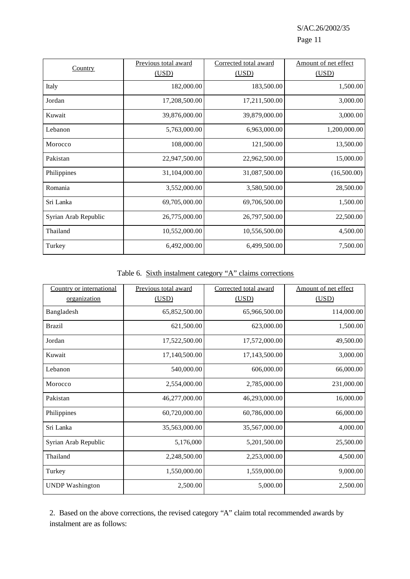S/AC.26/2002/35 Page 11

|                      | Previous total award | Corrected total award | Amount of net effect |
|----------------------|----------------------|-----------------------|----------------------|
| <b>Country</b>       | (USD)                | (USD)                 | (USD)                |
| Italy                | 182,000.00           | 183,500.00            | 1,500.00             |
| Jordan               | 17,208,500.00        | 17,211,500.00         | 3,000.00             |
| Kuwait               | 39,876,000.00        | 39,879,000.00         | 3,000.00             |
| Lebanon              | 5,763,000.00         | 6,963,000.00          | 1,200,000.00         |
| Morocco              | 108,000.00           | 121,500.00            | 13,500.00            |
| Pakistan             | 22,947,500.00        | 22,962,500.00         | 15,000.00            |
| Philippines          | 31,104,000.00        | 31,087,500.00         | (16,500.00)          |
| Romania              | 3,552,000.00         | 3,580,500.00          | 28,500.00            |
| Sri Lanka            | 69,705,000.00        | 69,706,500.00         | 1,500.00             |
| Syrian Arab Republic | 26,775,000.00        | 26,797,500.00         | 22,500.00            |
| Thailand             | 10,552,000.00        | 10,556,500.00         | 4,500.00             |
| Turkey               | 6,492,000.00         | 6,499,500.00          | 7,500.00             |

## Table 6. Sixth instalment category "A" claims corrections

| Country or international | Previous total award | Corrected total award | Amount of net effect |
|--------------------------|----------------------|-----------------------|----------------------|
| organization             | (USD)                | (USD)                 | (USD)                |
| Bangladesh               | 65,852,500.00        | 65,966,500.00         | 114,000.00           |
| <b>Brazil</b>            | 621,500.00           | 623,000.00            | 1,500.00             |
| Jordan                   | 17,522,500.00        | 17,572,000.00         | 49,500.00            |
| Kuwait                   | 17,140,500.00        | 17,143,500.00         | 3,000.00             |
| Lebanon                  | 540,000.00           | 606,000.00            | 66,000.00            |
| Morocco                  | 2,554,000.00         | 2,785,000.00          | 231,000.00           |
| Pakistan                 | 46,277,000.00        | 46,293,000.00         | 16,000.00            |
| Philippines              | 60,720,000.00        | 60,786,000.00         | 66,000.00            |
| Sri Lanka                | 35,563,000.00        | 35,567,000.00         | 4,000.00             |
| Syrian Arab Republic     | 5,176,000            | 5,201,500.00          | 25,500.00            |
| Thailand                 | 2,248,500.00         | 2,253,000.00          | 4,500.00             |
| Turkey                   | 1,550,000.00         | 1,559,000.00          | 9,000.00             |
| <b>UNDP</b> Washington   | 2,500.00             | 5,000.00              | 2,500.00             |

2. Based on the above corrections, the revised category "A" claim total recommended awards by instalment are as follows: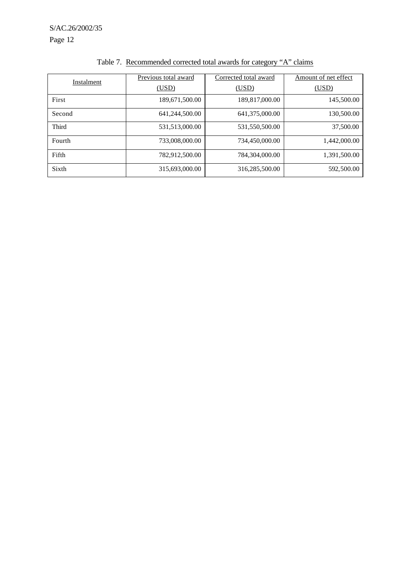S/AC.26/2002/35 Page 12

| Instalment   | Previous total award | Corrected total award | Amount of net effect |
|--------------|----------------------|-----------------------|----------------------|
|              | (USD)                | (USD)                 | <u>(USD)</u>         |
| First        | 189,671,500.00       | 189,817,000.00        | 145,500.00           |
| Second       | 641,244,500.00       | 641,375,000.00        | 130,500.00           |
| <b>Third</b> | 531,513,000.00       | 531,550,500.00        | 37,500.00            |
| Fourth       | 733,008,000.00       | 734,450,000.00        | 1,442,000.00         |
| Fifth        | 782,912,500.00       | 784,304,000.00        | 1,391,500.00         |
| Sixth        | 315,693,000.00       | 316,285,500.00        | 592,500.00           |

## Table 7. Recommended corrected total awards for category "A" claims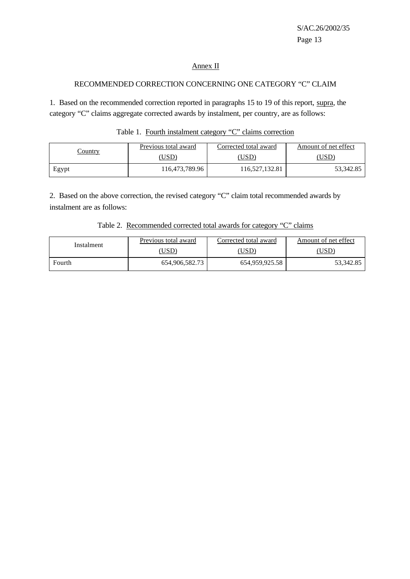## Annex II

#### RECOMMENDED CORRECTION CONCERNING ONE CATEGORY "C" CLAIM

1. Based on the recommended correction reported in paragraphs 15 to 19 of this report, supra, the category "C" claims aggregate corrected awards by instalment, per country, are as follows:

| Table 1. Fourth instalment category "C" claims correction |  |  |
|-----------------------------------------------------------|--|--|
|-----------------------------------------------------------|--|--|

|         | Previous total award | Corrected total award | Amount of net effect |
|---------|----------------------|-----------------------|----------------------|
| Country | 'USD                 | [USD                  | 'USD                 |
| Egypt   | 116,473,789.96       | 16,527,132.81         | 53,342.85            |

2. Based on the above correction, the revised category "C" claim total recommended awards by instalment are as follows:

|  |  | Table 2. Recommended corrected total awards for category "C" claims |  |  |  |  |
|--|--|---------------------------------------------------------------------|--|--|--|--|
|--|--|---------------------------------------------------------------------|--|--|--|--|

| Instalment | Previous total award | Corrected total award | Amount of net effect |  |  |
|------------|----------------------|-----------------------|----------------------|--|--|
|            | ,USD)                | USD)                  | USD)                 |  |  |
| Fourth     | 654,906,582.73       | 654,959,925.58        | 53,342.85            |  |  |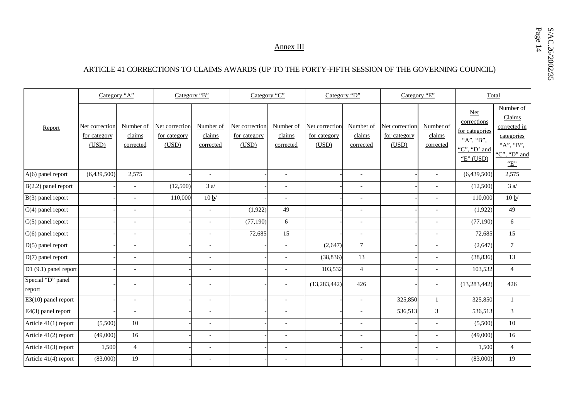Annex III

## ARTICLE 41 CORRECTIONS TO CLAIMS AWARDS (UP TO THE FORTY-FIFTH SESSION OF THE GOVERNING COUNCIL)

|                             | Category "A"                            |                                  | Category "B"                                   |                                  | Category "C"                            |                                  | Category "D"                                   |                                  | Category "E"                            |                                  | Total                                                                              |                                                                                       |
|-----------------------------|-----------------------------------------|----------------------------------|------------------------------------------------|----------------------------------|-----------------------------------------|----------------------------------|------------------------------------------------|----------------------------------|-----------------------------------------|----------------------------------|------------------------------------------------------------------------------------|---------------------------------------------------------------------------------------|
| Report                      | Net correction<br>for category<br>(USD) | Number of<br>claims<br>corrected | Net correction<br><u>for category</u><br>(USD) | Number of<br>claims<br>corrected | Net correction<br>for category<br>(USD) | Number of<br>claims<br>corrected | Net correction<br><u>for category</u><br>(USD) | Number of<br>claims<br>corrected | Net correction<br>for category<br>(USD) | Number of<br>claims<br>corrected | $Net$<br>corrections<br>for categories<br>"A", "B",<br>"C", "D' and<br>"E" $(USD)$ | Number of<br>Claims<br>corrected in<br>categories<br>"A", "B",<br>"C", "D" and<br>"E" |
| A(6) panel report           | (6,439,500)                             | 2,575                            |                                                | $\overline{\phantom{a}}$         |                                         | $\sim$                           |                                                | $\overline{\phantom{a}}$         |                                         |                                  | (6,439,500)                                                                        | 2,575                                                                                 |
| $B(2.2)$ panel report       |                                         | $\blacksquare$                   | (12,500)                                       | $3 \frac{a}{2}$                  |                                         | $\sim$                           |                                                | $\sim$                           |                                         |                                  | (12,500)                                                                           | 3a/                                                                                   |
| B(3) panel report           |                                         | $\blacksquare$                   | 110,000                                        | 10 b/                            |                                         | $\sim$                           |                                                | $\blacksquare$                   |                                         | $\overline{\phantom{a}}$         | 110,000                                                                            | 10 b/                                                                                 |
| $C(4)$ panel report         |                                         | $\overline{a}$                   |                                                | $\overline{a}$                   | (1,922)                                 | 49                               |                                                | $\blacksquare$                   |                                         |                                  | (1,922)                                                                            | 49                                                                                    |
| $C(5)$ panel report         |                                         | $\overline{a}$                   |                                                | $\overline{a}$                   | (77, 190)                               | 6                                |                                                | $\overline{a}$                   |                                         |                                  | (77, 190)                                                                          | 6                                                                                     |
| $C(6)$ panel report         |                                         | $\overline{\phantom{a}}$         |                                                | $\overline{a}$                   | 72,685                                  | 15                               |                                                | $\overline{\phantom{a}}$         |                                         |                                  | 72,685                                                                             | 15                                                                                    |
| $D(5)$ panel report         |                                         | $\overline{\phantom{a}}$         |                                                | $\overline{a}$                   |                                         | $\overline{\phantom{a}}$         | (2,647)                                        | $7\phantom{.0}$                  |                                         | $\overline{\phantom{a}}$         | (2,647)                                                                            | $7\overline{ }$                                                                       |
| $D(7)$ panel report         |                                         | $\overline{\phantom{a}}$         |                                                | $\overline{a}$                   |                                         | $\overline{\phantom{a}}$         | (38, 836)                                      | 13                               |                                         |                                  | (38, 836)                                                                          | 13                                                                                    |
| D1 (9.1) panel report       |                                         | $\overline{\phantom{a}}$         |                                                | $\overline{a}$                   |                                         |                                  | 103,532                                        | $\overline{4}$                   |                                         |                                  | 103,532                                                                            | $\overline{4}$                                                                        |
| Special "D" panel<br>report |                                         | $\overline{\phantom{a}}$         |                                                |                                  |                                         |                                  | (13, 283, 442)                                 | 426                              |                                         |                                  | (13, 283, 442)                                                                     | 426                                                                                   |
| $E3(10)$ panel report       |                                         | $\overline{a}$                   |                                                | L,                               |                                         |                                  |                                                | $\overline{a}$                   | 325,850                                 | $\mathbf{1}$                     | 325,850                                                                            | $\mathbf{1}$                                                                          |
| E4(3) panel report          |                                         | $\overline{\phantom{a}}$         |                                                | $\overline{a}$                   |                                         | $\overline{\phantom{a}}$         |                                                |                                  | 536,513                                 | $\overline{3}$                   | 536,513                                                                            | $\mathfrak{Z}$                                                                        |
| Article 41(1) report        | (5,500)                                 | 10                               |                                                | $\overline{a}$                   |                                         | $\sim$                           |                                                | $\overline{\phantom{a}}$         |                                         | $\bar{a}$                        | (5,500)                                                                            | 10 <sup>10</sup>                                                                      |
| Article 41(2) report        | (49,000)                                | 16                               |                                                | $\overline{\phantom{a}}$         |                                         | $\overline{\phantom{a}}$         |                                                | $\overline{\phantom{a}}$         |                                         |                                  | (49,000)                                                                           | 16                                                                                    |
| Article 41(3) report        | 1,500                                   | $\overline{4}$                   |                                                | $\overline{a}$                   |                                         | $\overline{\phantom{a}}$         |                                                | $\overline{\phantom{a}}$         |                                         | $\overline{\phantom{a}}$         | 1,500                                                                              | $\overline{4}$                                                                        |
| Article 41(4) report        | (83,000)                                | 19                               |                                                |                                  |                                         |                                  |                                                | $\blacksquare$                   |                                         |                                  | (83,000)                                                                           | 19                                                                                    |

Page S/AC.26/2002/35 14